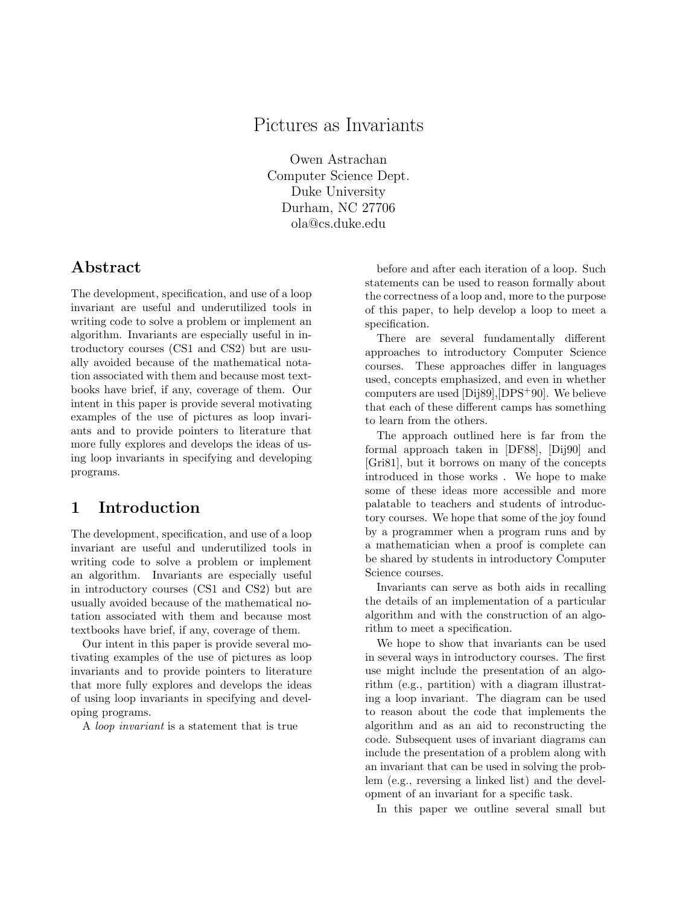# Pictures as Invariants

Owen Astrachan Computer Science Dept. Duke University Durham, NC 27706 ola@cs.duke.edu

### **Abstract**

The development, specification, and use of a loop invariant are useful and underutilized tools in writing code to solve a problem or implement an algorithm. Invariants are especially useful in introductory courses (CS1 and CS2) but are usually avoided because of the mathematical notation associated with them and because most textbooks have brief, if any, coverage of them. Our intent in this paper is provide several motivating examples of the use of pictures as loop invariants and to provide pointers to literature that more fully explores and develops the ideas of using loop invariants in specifying and developing programs.

## **1 Introduction**

The development, specification, and use of a loop invariant are useful and underutilized tools in writing code to solve a problem or implement an algorithm. Invariants are especially useful in introductory courses (CS1 and CS2) but are usually avoided because of the mathematical notation associated with them and because most textbooks have brief, if any, coverage of them.

Our intent in this paper is provide several motivating examples of the use of pictures as loop invariants and to provide pointers to literature that more fully explores and develops the ideas of using loop invariants in specifying and developing programs.

A loop invariant is a statement that is true

before and after each iteration of a loop. Such statements can be used to reason formally about the correctness of a loop and, more to the purpose of this paper, to help develop a loop to meet a specification.

There are several fundamentally different approaches to introductory Computer Science courses. These approaches differ in languages used, concepts emphasized, and even in whether computers are used [Dij89],[DPS<sup>+</sup>90]. We believe that each of these different camps has something to learn from the others.

The approach outlined here is far from the formal approach taken in [DF88], [Dij90] and [Gri81], but it borrows on many of the concepts introduced in those works . We hope to make some of these ideas more accessible and more palatable to teachers and students of introductory courses. We hope that some of the joy found by a programmer when a program runs and by a mathematician when a proof is complete can be shared by students in introductory Computer Science courses.

Invariants can serve as both aids in recalling the details of an implementation of a particular algorithm and with the construction of an algorithm to meet a specification.

We hope to show that invariants can be used in several ways in introductory courses. The first use might include the presentation of an algorithm (e.g., partition) with a diagram illustrating a loop invariant. The diagram can be used to reason about the code that implements the algorithm and as an aid to reconstructing the code. Subsequent uses of invariant diagrams can include the presentation of a problem along with an invariant that can be used in solving the problem (e.g., reversing a linked list) and the development of an invariant for a specific task.

In this paper we outline several small but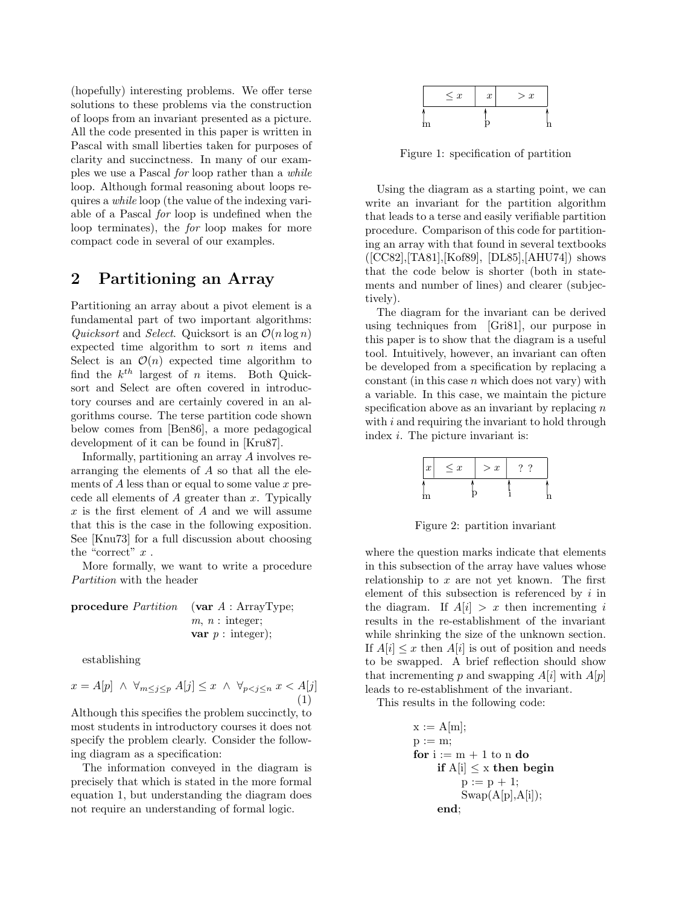(hopefully) interesting problems. We offer terse solutions to these problems via the construction of loops from an invariant presented as a picture. All the code presented in this paper is written in Pascal with small liberties taken for purposes of clarity and succinctness. In many of our examples we use a Pascal for loop rather than a while loop. Although formal reasoning about loops requires a while loop (the value of the indexing variable of a Pascal for loop is undefined when the loop terminates), the for loop makes for more compact code in several of our examples.

## **2 Partitioning an Array**

Partitioning an array about a pivot element is a fundamental part of two important algorithms: Quicksort and Select. Quicksort is an  $\mathcal{O}(n \log n)$ expected time algorithm to sort  $n$  items and Select is an  $\mathcal{O}(n)$  expected time algorithm to find the  $k^{th}$  largest of *n* items. Both Quicksort and Select are often covered in introductory courses and are certainly covered in an algorithms course. The terse partition code shown below comes from [Ben86], a more pedagogical development of it can be found in [Kru87].

Informally, partitioning an array A involves rearranging the elements of A so that all the elements of  $A$  less than or equal to some value  $x$  precede all elements of  $A$  greater than  $x$ . Typically  $x$  is the first element of  $A$  and we will assume that this is the case in the following exposition. See [Knu73] for a full discussion about choosing the "correct"  $x$ .

More formally, we want to write a procedure Partition with the header

**procedure** *Partition* (**var** 
$$
A : \text{ArrayType};
$$
  
 $m, n : \text{integer};$   
**var**  $p : \text{integer};$ 

establishing

 $x = A[p] \ \land \ \forall_{m \leq j \leq p} A[j] \leq x \ \land \ \forall_{p < j \leq n} x < A[j]$ (1)

Although this specifies the problem succinctly, to most students in introductory courses it does not specify the problem clearly. Consider the following diagram as a specification:

The information conveyed in the diagram is precisely that which is stated in the more formal equation 1, but understanding the diagram does not require an understanding of formal logic.



Figure 1: specification of partition

Using the diagram as a starting point, we can write an invariant for the partition algorithm that leads to a terse and easily verifiable partition procedure. Comparison of this code for partitioning an array with that found in several textbooks ([CC82],[TA81],[Kof89], [DL85],[AHU74]) shows that the code below is shorter (both in statements and number of lines) and clearer (subjectively).

The diagram for the invariant can be derived using techniques from [Gri81], our purpose in this paper is to show that the diagram is a useful tool. Intuitively, however, an invariant can often be developed from a specification by replacing a constant (in this case  $n$  which does not vary) with a variable. In this case, we maintain the picture specification above as an invariant by replacing  $n$ with  $i$  and requiring the invariant to hold through index *i*. The picture invariant is:

| $\boldsymbol{x}$ | $\leq x$ | > x |  |
|------------------|----------|-----|--|
|                  |          |     |  |

Figure 2: partition invariant

where the question marks indicate that elements in this subsection of the array have values whose relationship to  $x$  are not yet known. The first element of this subsection is referenced by  $i$  in the diagram. If  $A[i] > x$  then incrementing i results in the re-establishment of the invariant while shrinking the size of the unknown section. If  $A[i] \leq x$  then  $A[i]$  is out of position and needs to be swapped. A brief reflection should show that incrementing p and swapping  $A[i]$  with  $A[p]$ leads to re-establishment of the invariant.

This results in the following code:

```
x := A[m];p := m;for i := m + 1 to n do
    if A[i] \leq x then begin
         p := p + 1;
         Swap(A[p], A[i]);end;
```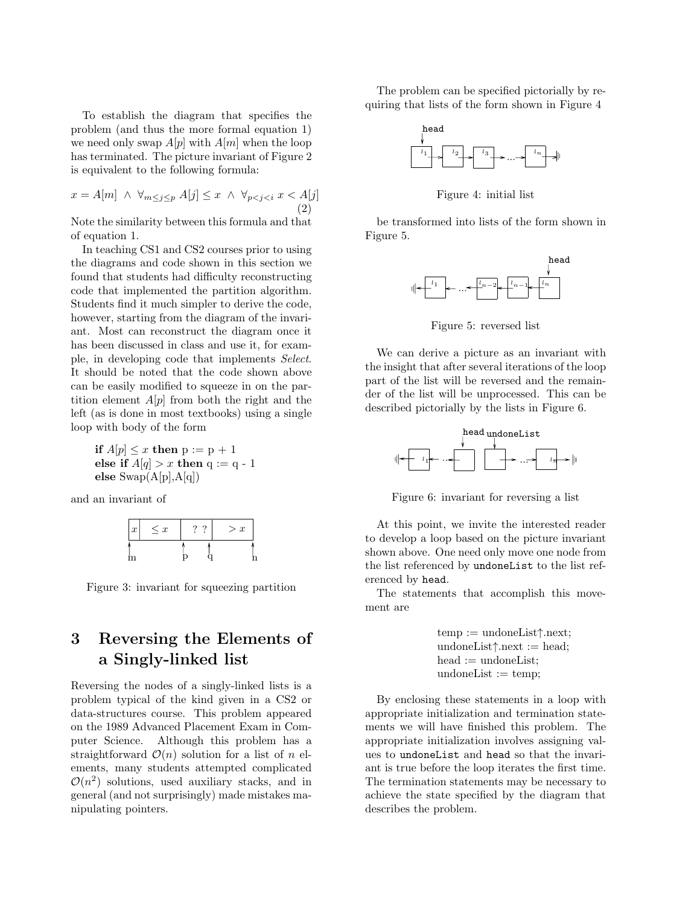To establish the diagram that specifies the problem (and thus the more formal equation 1) we need only swap  $A[p]$  with  $A[m]$  when the loop has terminated. The picture invariant of Figure 2 is equivalent to the following formula:

$$
x = A[m] \land \forall_{m \le j \le p} A[j] \le x \land \forall_{p < j < i} x < A[j]
$$
\n
$$
\tag{2}
$$

Note the similarity between this formula and that of equation 1.

In teaching CS1 and CS2 courses prior to using the diagrams and code shown in this section we found that students had difficulty reconstructing code that implemented the partition algorithm. Students find it much simpler to derive the code, however, starting from the diagram of the invariant. Most can reconstruct the diagram once it has been discussed in class and use it, for example, in developing code that implements Select. It should be noted that the code shown above can be easily modified to squeeze in on the partition element  $A[p]$  from both the right and the left (as is done in most textbooks) using a single loop with body of the form

**if**  $A[p] \leq x$  **then**  $p := p + 1$ **else if**  $A[q] > x$  **then** q := q - 1 **else** Swap(A[p],A[q])

and an invariant of

| $\boldsymbol{x}$ | $\leq x$ |  | > x |
|------------------|----------|--|-----|
| m                |          |  |     |

Figure 3: invariant for squeezing partition

# **3 Reversing the Elements of a Singly-linked list**

Reversing the nodes of a singly-linked lists is a problem typical of the kind given in a CS2 or data-structures course. This problem appeared on the 1989 Advanced Placement Exam in Computer Science. Although this problem has a straightforward  $\mathcal{O}(n)$  solution for a list of n elements, many students attempted complicated  $\mathcal{O}(n^2)$  solutions, used auxiliary stacks, and in general (and not surprisingly) made mistakes manipulating pointers.

The problem can be specified pictorially by requiring that lists of the form shown in Figure 4



Figure 4: initial list

be transformed into lists of the form shown in Figure 5.



Figure 5: reversed list

We can derive a picture as an invariant with the insight that after several iterations of the loop part of the list will be reversed and the remainder of the list will be unprocessed. This can be described pictorially by the lists in Figure 6.



Figure 6: invariant for reversing a list

At this point, we invite the interested reader to develop a loop based on the picture invariant shown above. One need only move one node from the list referenced by undoneList to the list referenced by head.

The statements that accomplish this movement are

> temp := undoneList↑.next; undoneList↑.next := head;  $head :=$  undoneList;  $undoneList := temp;$

By enclosing these statements in a loop with appropriate initialization and termination statements we will have finished this problem. The appropriate initialization involves assigning values to undoneList and head so that the invariant is true before the loop iterates the first time. The termination statements may be necessary to achieve the state specified by the diagram that describes the problem.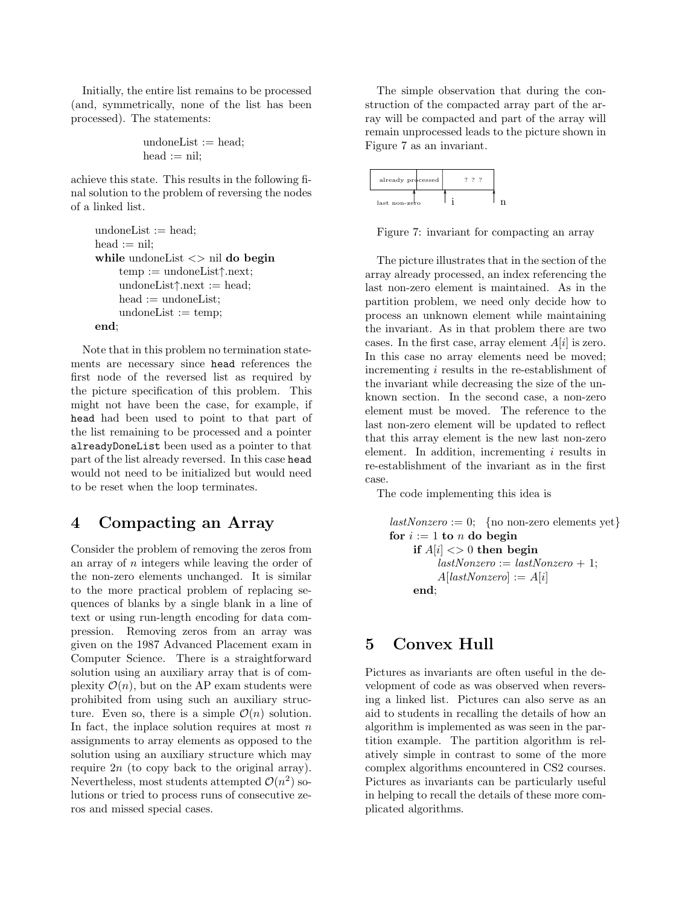Initially, the entire list remains to be processed (and, symmetrically, none of the list has been processed). The statements:

$$
\begin{aligned}\n\text{undoneList} &:= \text{head}; \\
\text{head} &:= \text{nil};\n\end{aligned}
$$

achieve this state. This results in the following final solution to the problem of reversing the nodes of a linked list.

```
undoneList := head;head := nil;while undoneList <> nil do begin
    temp := undoneList↑.next;
    undoneList↑.next := head;
    head := undoneList:
    undoneList := temp;end;
```
Note that in this problem no termination statements are necessary since head references the first node of the reversed list as required by the picture specification of this problem. This might not have been the case, for example, if head had been used to point to that part of the list remaining to be processed and a pointer alreadyDoneList been used as a pointer to that part of the list already reversed. In this case head would not need to be initialized but would need to be reset when the loop terminates.

#### **4 Compacting an Array**

Consider the problem of removing the zeros from an array of n integers while leaving the order of the non-zero elements unchanged. It is similar to the more practical problem of replacing sequences of blanks by a single blank in a line of text or using run-length encoding for data compression. Removing zeros from an array was given on the 1987 Advanced Placement exam in Computer Science. There is a straightforward solution using an auxiliary array that is of complexity  $\mathcal{O}(n)$ , but on the AP exam students were prohibited from using such an auxiliary structure. Even so, there is a simple  $\mathcal{O}(n)$  solution. In fact, the inplace solution requires at most  $n$ assignments to array elements as opposed to the solution using an auxiliary structure which may require  $2n$  (to copy back to the original array). Nevertheless, most students attempted  $\mathcal{O}(n^2)$  solutions or tried to process runs of consecutive zeros and missed special cases.

The simple observation that during the construction of the compacted array part of the array will be compacted and part of the array will remain unprocessed leads to the picture shown in Figure 7 as an invariant.

| already processed |  |  |  |
|-------------------|--|--|--|
| last non-zero     |  |  |  |

Figure 7: invariant for compacting an array

The picture illustrates that in the section of the array already processed, an index referencing the last non-zero element is maintained. As in the partition problem, we need only decide how to process an unknown element while maintaining the invariant. As in that problem there are two cases. In the first case, array element  $A[i]$  is zero. In this case no array elements need be moved; incrementing i results in the re-establishment of the invariant while decreasing the size of the unknown section. In the second case, a non-zero element must be moved. The reference to the last non-zero element will be updated to reflect that this array element is the new last non-zero element. In addition, incrementing i results in re-establishment of the invariant as in the first case.

The code implementing this idea is

```
lastNonzero := 0; \text{ \{no non-zero elements yet}\}for i := 1 to n do begin
    if A[i] \leq 0 then begin
          lastNonzero := lastNonzero + 1;A[lastNonzero] := A[i]end;
```
### **5 Convex Hull**

Pictures as invariants are often useful in the development of code as was observed when reversing a linked list. Pictures can also serve as an aid to students in recalling the details of how an algorithm is implemented as was seen in the partition example. The partition algorithm is relatively simple in contrast to some of the more complex algorithms encountered in CS2 courses. Pictures as invariants can be particularly useful in helping to recall the details of these more complicated algorithms.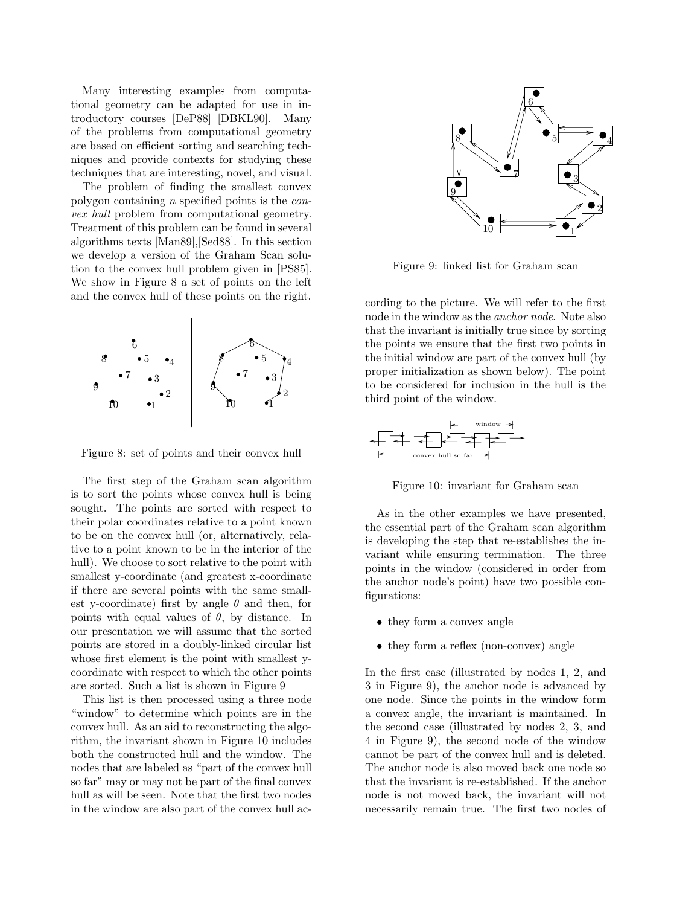Many interesting examples from computational geometry can be adapted for use in introductory courses [DeP88] [DBKL90]. Many of the problems from computational geometry are based on efficient sorting and searching techniques and provide contexts for studying these techniques that are interesting, novel, and visual.

The problem of finding the smallest convex polygon containing n specified points is the convex hull problem from computational geometry. Treatment of this problem can be found in several algorithms texts [Man89],[Sed88]. In this section we develop a version of the Graham Scan solution to the convex hull problem given in [PS85]. We show in Figure 8 a set of points on the left and the convex hull of these points on the right.



Figure 8: set of points and their convex hull

The first step of the Graham scan algorithm is to sort the points whose convex hull is being sought. The points are sorted with respect to their polar coordinates relative to a point known to be on the convex hull (or, alternatively, relative to a point known to be in the interior of the hull). We choose to sort relative to the point with smallest y-coordinate (and greatest x-coordinate if there are several points with the same smallest y-coordinate) first by angle  $\theta$  and then, for points with equal values of  $\theta$ , by distance. In our presentation we will assume that the sorted points are stored in a doubly-linked circular list whose first element is the point with smallest ycoordinate with respect to which the other points are sorted. Such a list is shown in Figure 9

This list is then processed using a three node "window" to determine which points are in the convex hull. As an aid to reconstructing the algorithm, the invariant shown in Figure 10 includes both the constructed hull and the window. The nodes that are labeled as "part of the convex hull so far" may or may not be part of the final convex hull as will be seen. Note that the first two nodes in the window are also part of the convex hull ac-



Figure 9: linked list for Graham scan

cording to the picture. We will refer to the first node in the window as the anchor node. Note also that the invariant is initially true since by sorting the points we ensure that the first two points in the initial window are part of the convex hull (by proper initialization as shown below). The point to be considered for inclusion in the hull is the third point of the window.



Figure 10: invariant for Graham scan

As in the other examples we have presented, the essential part of the Graham scan algorithm is developing the step that re-establishes the invariant while ensuring termination. The three points in the window (considered in order from the anchor node's point) have two possible configurations:

- they form a convex angle
- they form a reflex (non-convex) angle

In the first case (illustrated by nodes 1, 2, and 3 in Figure 9), the anchor node is advanced by one node. Since the points in the window form a convex angle, the invariant is maintained. In the second case (illustrated by nodes 2, 3, and 4 in Figure 9), the second node of the window cannot be part of the convex hull and is deleted. The anchor node is also moved back one node so that the invariant is re-established. If the anchor node is not moved back, the invariant will not necessarily remain true. The first two nodes of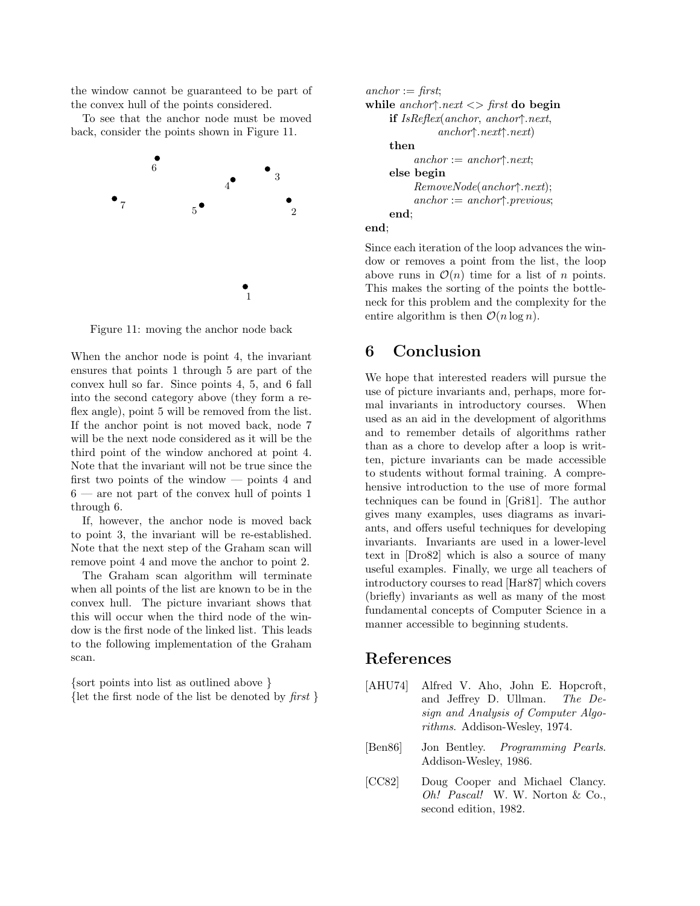the window cannot be guaranteed to be part of the convex hull of the points considered.

To see that the anchor node must be moved back, consider the points shown in Figure 11.



Figure 11: moving the anchor node back

When the anchor node is point 4, the invariant ensures that points 1 through 5 are part of the convex hull so far. Since points 4, 5, and 6 fall into the second category above (they form a reflex angle), point 5 will be removed from the list. If the anchor point is not moved back, node 7 will be the next node considered as it will be the third point of the window anchored at point 4. Note that the invariant will not be true since the first two points of the window — points 4 and  $6$  — are not part of the convex hull of points 1 through 6.

If, however, the anchor node is moved back to point 3, the invariant will be re-established. Note that the next step of the Graham scan will remove point 4 and move the anchor to point 2.

The Graham scan algorithm will terminate when all points of the list are known to be in the convex hull. The picture invariant shows that this will occur when the third node of the window is the first node of the linked list. This leads to the following implementation of the Graham scan.

{sort points into list as outlined above } {let the first node of the list be denoted by  $first$ }

```
\mathit{anchor} := \mathit{first}:
while anchor↑.next <> first do begin
      if IsReflex(anchor, anchor↑.next,
                   anchor↑.next↑.next)
      then
             \mathit{anchor} := \mathit{anchor} \land \mathit{next};else begin
             RemoveNode(anchor↑.next);
            \mathit{anchor} := \mathit{anchor} \uparrow \mathit{previous};end;
end;
```
Since each iteration of the loop advances the window or removes a point from the list, the loop above runs in  $\mathcal{O}(n)$  time for a list of n points. This makes the sorting of the points the bottleneck for this problem and the complexity for the entire algorithm is then  $\mathcal{O}(n \log n)$ .

### **6 Conclusion**

We hope that interested readers will pursue the use of picture invariants and, perhaps, more formal invariants in introductory courses. When used as an aid in the development of algorithms and to remember details of algorithms rather than as a chore to develop after a loop is written, picture invariants can be made accessible to students without formal training. A comprehensive introduction to the use of more formal techniques can be found in [Gri81]. The author gives many examples, uses diagrams as invariants, and offers useful techniques for developing invariants. Invariants are used in a lower-level text in [Dro82] which is also a source of many useful examples. Finally, we urge all teachers of introductory courses to read [Har87] which covers (briefly) invariants as well as many of the most fundamental concepts of Computer Science in a manner accessible to beginning students.

#### **References**

- [AHU74] Alfred V. Aho, John E. Hopcroft, and Jeffrey D. Ullman. The Design and Analysis of Computer Algorithms. Addison-Wesley, 1974.
- [Ben86] Jon Bentley. Programming Pearls. Addison-Wesley, 1986.
- [CC82] Doug Cooper and Michael Clancy. Oh! Pascal! W. W. Norton & Co., second edition, 1982.